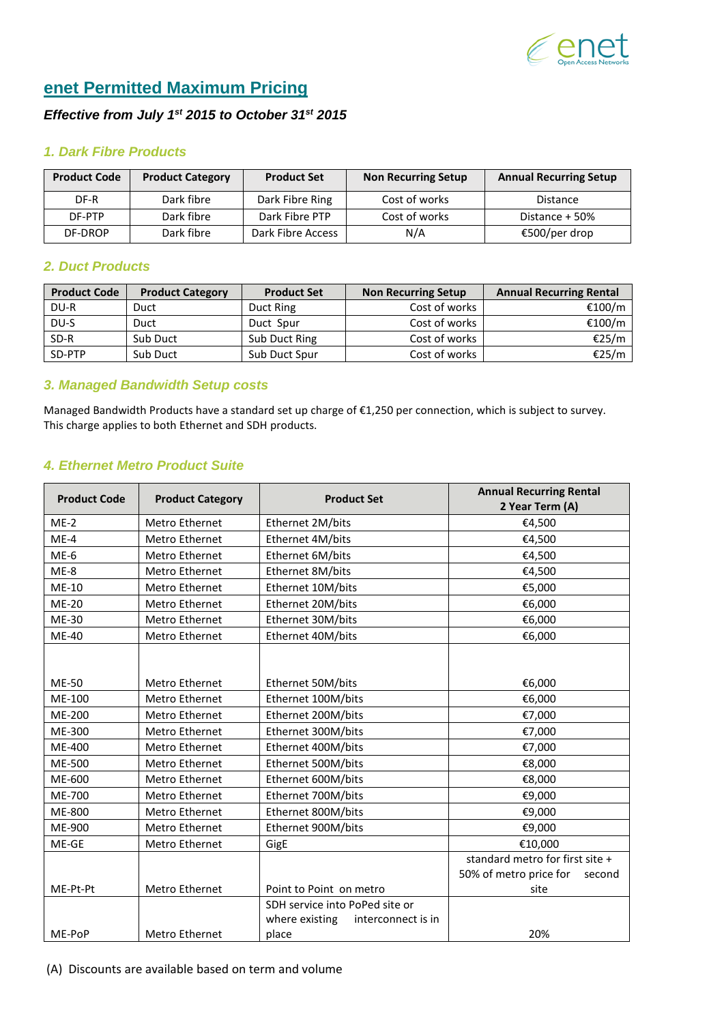

# **enet Permitted Maximum Pricing**

# *Effective from July 1st 2015 to October 31st 2015*

#### *1. Dark Fibre Products*

| <b>Product Code</b> | <b>Product Category</b> | <b>Product Set</b> | <b>Non Recurring Setup</b> | <b>Annual Recurring Setup</b> |
|---------------------|-------------------------|--------------------|----------------------------|-------------------------------|
| DF-R                | Dark fibre              | Dark Fibre Ring    | Cost of works              | Distance                      |
| DF-PTP              | Dark fibre              | Dark Fibre PTP     | Cost of works              | Distance $+50%$               |
| DF-DROP             | Dark fibre              | Dark Fibre Access  | N/A                        | €500/per drop                 |

#### *2. Duct Products*

| <b>Product Code</b> | <b>Product Category</b> | <b>Product Set</b> | <b>Non Recurring Setup</b> | <b>Annual Recurring Rental</b> |
|---------------------|-------------------------|--------------------|----------------------------|--------------------------------|
| DU-R                | Duct                    | Duct Ring          | Cost of works              | €100/m                         |
| DU-S                | Duct                    | Duct Spur          | Cost of works              | €100/m                         |
| $SD-R$              | Sub Duct                | Sub Duct Ring      | Cost of works              | €25/m                          |
| SD-PTP              | Sub Duct                | Sub Duct Spur      | Cost of works              | €25/m                          |

#### *3. Managed Bandwidth Setup costs*

Managed Bandwidth Products have a standard set up charge of €1,250 per connection, which is subject to survey. This charge applies to both Ethernet and SDH products.

#### *4. Ethernet Metro Product Suite*

| <b>Product Code</b> | <b>Product Category</b> | <b>Annual Recurring Rental</b><br><b>Product Set</b><br>2 Year Term (A) |                                  |
|---------------------|-------------------------|-------------------------------------------------------------------------|----------------------------------|
| $ME-2$              | Metro Ethernet          | Ethernet 2M/bits                                                        | €4,500                           |
| $ME-4$              | Metro Ethernet          | Ethernet 4M/bits                                                        | €4,500                           |
| $ME-6$              | Metro Ethernet          | Ethernet 6M/bits                                                        | €4,500                           |
| $ME-8$              | <b>Metro Ethernet</b>   | Ethernet 8M/bits                                                        | €4,500                           |
| ME-10               | Metro Ethernet          | Ethernet 10M/bits                                                       | €5,000                           |
| <b>ME-20</b>        | Metro Ethernet          | Ethernet 20M/bits                                                       | €6,000                           |
| ME-30               | <b>Metro Ethernet</b>   | Ethernet 30M/bits                                                       | €6,000                           |
| <b>ME-40</b>        | Metro Ethernet          | Ethernet 40M/bits                                                       | €6,000                           |
| <b>ME-50</b>        | <b>Metro Ethernet</b>   | Ethernet 50M/bits                                                       | €6,000                           |
| ME-100              | Metro Ethernet          |                                                                         |                                  |
| <b>ME-200</b>       | Metro Ethernet          | Ethernet 100M/bits<br>Ethernet 200M/bits                                | €6,000<br>€7,000                 |
| ME-300              | Metro Ethernet          | Ethernet 300M/bits                                                      |                                  |
| ME-400              | <b>Metro Ethernet</b>   |                                                                         | €7,000                           |
| ME-500              | Metro Ethernet          | Ethernet 400M/bits<br>Ethernet 500M/bits                                | €7,000<br>€8,000                 |
| ME-600              | Metro Ethernet          | Ethernet 600M/bits                                                      | €8,000                           |
| ME-700              | Metro Ethernet          | Ethernet 700M/bits                                                      |                                  |
| ME-800              | Metro Ethernet          | Ethernet 800M/bits                                                      | €9,000<br>€9,000                 |
| ME-900              | <b>Metro Ethernet</b>   |                                                                         |                                  |
| ME-GE               | Metro Ethernet          | Ethernet 900M/bits                                                      | €9,000<br>€10,000                |
|                     |                         | GigE                                                                    | standard metro for first site +  |
|                     |                         |                                                                         | 50% of metro price for<br>second |
| ME-Pt-Pt            | <b>Metro Ethernet</b>   | Point to Point on metro                                                 | site                             |
|                     |                         | SDH service into PoPed site or                                          |                                  |
|                     |                         | where existing<br>interconnect is in                                    |                                  |
| ME-PoP              | <b>Metro Ethernet</b>   | place                                                                   | 20%                              |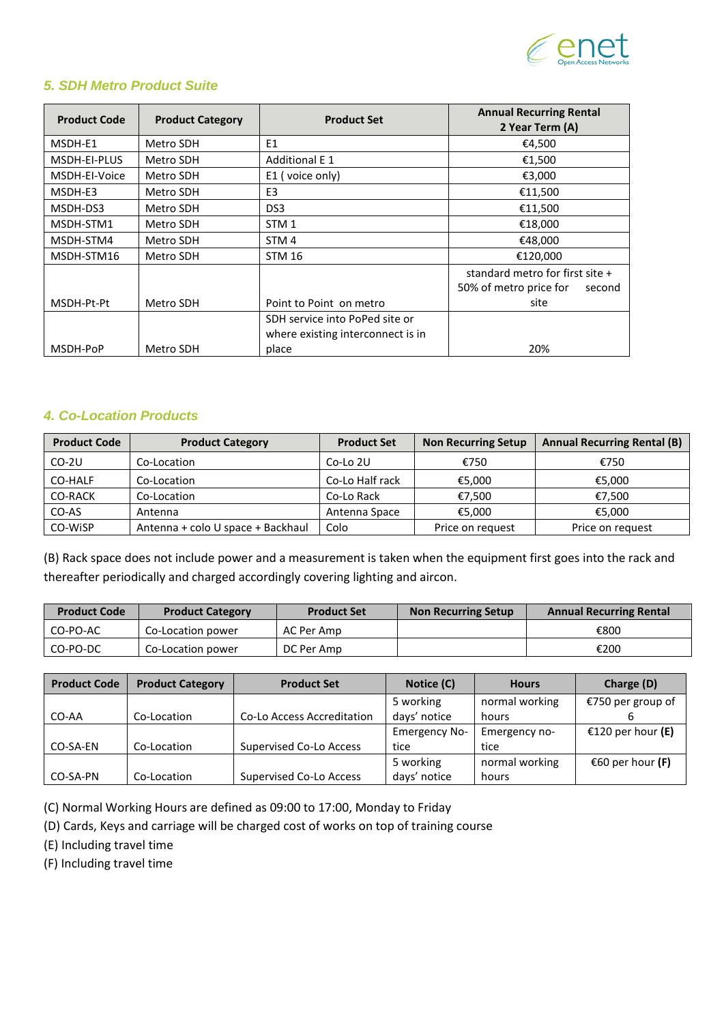

# *5. SDH Metro Product Suite*

| <b>Product Code</b> | <b>Product Category</b> | <b>Product Set</b>                | <b>Annual Recurring Rental</b><br>2 Year Term (A) |  |
|---------------------|-------------------------|-----------------------------------|---------------------------------------------------|--|
| MSDH-E1             | Metro SDH               | E <sub>1</sub>                    | €4,500                                            |  |
| MSDH-EI-PLUS        | Metro SDH               | <b>Additional E 1</b>             | €1,500                                            |  |
| MSDH-EI-Voice       | Metro SDH               | E1 (voice only)                   | €3,000                                            |  |
| MSDH-E3             | Metro SDH               | E <sub>3</sub>                    | €11,500                                           |  |
| MSDH-DS3            | Metro SDH               | DS <sub>3</sub>                   | €11,500                                           |  |
| MSDH-STM1           | Metro SDH               | STM <sub>1</sub>                  | €18,000                                           |  |
| MSDH-STM4           | Metro SDH               | STM <sub>4</sub>                  | €48,000                                           |  |
| MSDH-STM16          | Metro SDH               | <b>STM 16</b>                     | €120.000                                          |  |
|                     |                         |                                   | standard metro for first site +                   |  |
|                     |                         |                                   | 50% of metro price for<br>second                  |  |
| MSDH-Pt-Pt          | Metro SDH               | Point to Point on metro           | site                                              |  |
|                     |                         | SDH service into PoPed site or    |                                                   |  |
|                     |                         | where existing interconnect is in |                                                   |  |
| MSDH-PoP            | Metro SDH               | place                             | 20%                                               |  |

#### *4. Co-Location Products*

| <b>Product Code</b> | <b>Product Category</b>           | <b>Product Set</b> | <b>Non Recurring Setup</b> | <b>Annual Recurring Rental (B)</b> |
|---------------------|-----------------------------------|--------------------|----------------------------|------------------------------------|
| $CO-2U$             | Co-Location                       | Co-Lo 2U           | €750                       | €750                               |
| CO-HALF             | Co-Location                       | Co-Lo Half rack    | €5,000                     | €5,000                             |
| CO-RACK             | Co-Location                       | Co-Lo Rack         | €7.500                     | €7.500                             |
| CO-AS               | Antenna                           | Antenna Space      | €5.000                     | €5.000                             |
| CO-WISP             | Antenna + colo U space + Backhaul | Colo               | Price on request           | Price on request                   |

(B) Rack space does not include power and a measurement is taken when the equipment first goes into the rack and thereafter periodically and charged accordingly covering lighting and aircon.

| <b>Product Code</b> | <b>Product Category</b> | <b>Product Set</b> | <b>Non Recurring Setup</b> | <b>Annual Recurring Rental</b> |
|---------------------|-------------------------|--------------------|----------------------------|--------------------------------|
| CO-PO-AC            | Co-Location power       | AC Per Amp         |                            | €800                           |
| CO-PO-DC            | Co-Location power       | DC Per Amp         |                            | €200                           |

| <b>Product Code</b> | <b>Product Category</b> | <b>Product Set</b>             | Notice (C)           | <b>Hours</b>   | Charge (D)        |
|---------------------|-------------------------|--------------------------------|----------------------|----------------|-------------------|
|                     |                         |                                | 5 working            | normal working | €750 per group of |
| CO-AA               | Co-Location             | Co-Lo Access Accreditation     | days' notice         | hours          |                   |
|                     |                         |                                | <b>Emergency No-</b> | Emergency no-  | €120 per hour (E) |
| CO-SA-EN            | Co-Location             | <b>Supervised Co-Lo Access</b> | tice                 | tice           |                   |
|                     |                         |                                | 5 working            | normal working | €60 per hour (F)  |
| CO-SA-PN            | Co-Location             | Supervised Co-Lo Access        | days' notice         | hours          |                   |

(C) Normal Working Hours are defined as 09:00 to 17:00, Monday to Friday

(D) Cards, Keys and carriage will be charged cost of works on top of training course

(E) Including travel time

(F) Including travel time